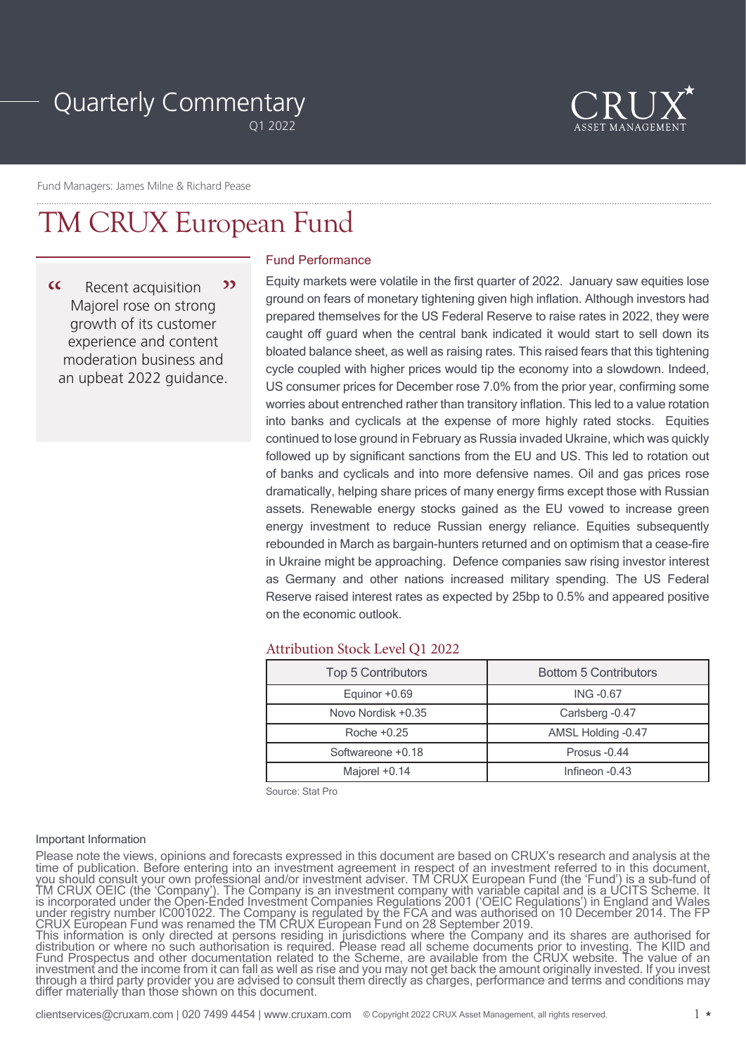# Quarterly Commentary

Q1 2022



Fund Managers: James Milne & Richard Pease

## TM CRUX European Fund

 $\alpha$ Recent acquisition 22 Majorel rose on strong growth of its customer experience and content moderation business and an upbeat 2022 guidance.

## Fund Performance

Equity markets were volatile in the first quarter of 2022. January saw equities lose ground on fears of monetary tightening given high inflation. Although investors had prepared themselves for the US Federal Reserve to raise rates in 2022, they were caught off guard when the central bank indicated it would start to sell down its bloated balance sheet, as well as raising rates. This raised fears that this tightening cycle coupled with higher prices would tip the economy into a slowdown. Indeed, US consumer prices for December rose 7.0% from the prior year, confirming some worries about entrenched rather than transitory inflation. This led to a value rotation into banks and cyclicals at the expense of more highly rated stocks. Equities continued to lose ground in February as Russia invaded Ukraine, which was quickly followed up by significant sanctions from the EU and US. This led to rotation out of banks and cyclicals and into more defensive names. Oil and gas prices rose dramatically, helping share prices of many energy firms except those with Russian assets. Renewable energy stocks gained as the EU vowed to increase green energy investment to reduce Russian energy reliance. Equities subsequently rebounded in March as bargain-hunters returned and on optimism that a cease-fire in Ukraine might be approaching. Defence companies saw rising investor interest as Germany and other nations increased military spending. The US Federal Reserve raised interest rates as expected by 25bp to 0.5% and appeared positive on the economic outlook.

## Attribution Stock Level Q1 2022

| <b>Top 5 Contributors</b> | <b>Bottom 5 Contributors</b> |
|---------------------------|------------------------------|
| Equinor +0.69             | <b>ING-0.67</b>              |
| Novo Nordisk +0.35        | Carlsberg -0.47              |
| Roche $+0.25$             | AMSL Holding -0.47           |
| Softwareone +0.18         | Prosus -0.44                 |
| Majorel +0.14             | Infineon $-0.43$             |

Source: Stat Pro

#### Important Information

Please note the views, opinions and forecasts expressed in this document are based on CRUX's research and analysis at the time of publication. Before entering into an investment agreement in respect of an investment referred to in this document, you should consult your own professional and/or investment adviser. TM CRUX European Fund (the 'Fund') is a sub-fund of TM CRUX OEIC (the 'Company'). The Company is an investment company with variable capital and is a UCITS Scheme. It is incorporated under the Open-Ended Investment Companies Regulations 2001 ('OEIC Regulations') in England and Wales under registry number IC001022. The Company is regulated by the FCA and was authorised on 10 December 2014. The FP CRUX European Fund was renamed the TM CRUX European Fund on 28 September 2019. This information is only directed at persons residing in jurisdictions where the Company and its shares are authorised for

distribution or where no such authorisation is required. Please read all scheme documents prior to investing. The KIID and Fund Prospectus and other documentation related to the Scheme, are available from the CRUX website. The value of an investment and the income from it can fall as well as rise and you may not get back the amount originally invested. If you invest through a third party provider you are advised to consult them directly as charges, performance and terms and conditions may differ materially than those shown on this document.